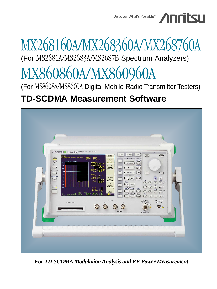

# MX268160A/MX268360A/MX268760A (For MS2681A/MS2683A/MS2687B Spectrum Analyzers) MX860860A/MX860960A

(For MS8608A/MS8609A Digital Mobile Radio Transmitter Testers)

## **TD-SCDMA Measurement Software**



*For TD-SCDMA Modulation Analysis and RF Power Measurement*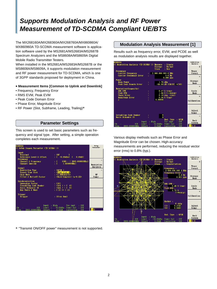### **Supports Modulation Analysis and RF Power Measurement of TD-SCDMA Compliant UE/BTS**

The MX268160A/MX268360A/MX268760A/MX860860A/ MX860960A TD-SCDMA measurement software is application software used by the MS2681A/MS2683A/MS2687B Spectrum Analyzers and the MS8608A/MS8609A Digital Mobile Radio Transmitter Testers.

When installed in the MS2681A/MS2683A/MS2687B or the MS8608A/MS8609A, it supports modulation measurement and RF power measurement for TD-SCDMA, which is one of 3GPP standards proposed for deployment in China.

### **• Measurement Items [Common to Uplink and Downlink]**

- Frequency, Frequency Error
- RMS EVM, Peak EVM
- Peak Code Domain Error
- Phase Error, Magnitude Error
- RF Power (Slot, Subframe, Leading, Trailing)\*

### **Parameter Settings**

This screen is used to set basic parameters such as frequency and signal type. After setting, a simple operation completes each measurement.



\* "Transmit ON/OFF power" measurement is not supported.

### **Modulation Analysis Measurement [1]**

Results such as frequency error, EVM, and PCDE as well as modulation analysis results are displayed together.



Various display methods such as Phase Error and Magnitude Error can be chosen. High-accuracy measurements are performed, reducing the residual vector error (rms) to 0.8% (typ.).

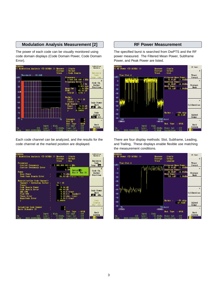### **Modulation Analysis Measurement [2]**

The power of each code can be visually monitored using code domain displays (Code Domain Power, Code Domain Error).



Each code channel can be analyzed, and the results for the code channel at the marked position are displayed.



#### **RF Power Measurement**

The specified burst is searched from DwPTS and the RF power measured. The Filtered Mean Power, Subframe Power, and Peak Power are listed.



There are four display methods: Slot, Subframe, Leading, and Trailing, These displays enable flexible use matching the measurement conditions.

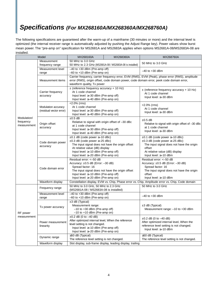### **Specifications (For MX268160A/MX268360A/MX268760A)**

The following specifications are guaranteed after the warm-up of a mainframe (30 minutes or more) and the internal level is optimized (the internal receiver range is automatically adjusted by pushing the Adjust Range key). Power values show burst mean power. The "pre-amp on" specification for MS2681A and MS2683A applies when options MS2681A-08/MS2683A-08 are installed.

| Model                   |                                | MX268160A                                                                                        | MX268360A                                                | MX268760A                                               |
|-------------------------|--------------------------------|--------------------------------------------------------------------------------------------------|----------------------------------------------------------|---------------------------------------------------------|
|                         | Measurement                    | 50 MHz to 3.0 GHz                                                                                |                                                          | 50 MHz to 3.0 GHz                                       |
|                         | frequency range                |                                                                                                  | 50 MHz to 2.3 GHz (MS2681A-08 / MS2683A-08 is installed) |                                                         |
|                         | Measurement level              | $-40$ to $+30$ dBm (Pre-amp off)                                                                 |                                                          | $-40$ to $+30$ dBm                                      |
|                         | range                          | $-60$ to $+10$ dBm (Pre-amp on)                                                                  |                                                          |                                                         |
|                         |                                | Carrier frequency, carrier frequency error, EVM (RMS), EVM (Peak), phase error (RMS), amplitude  |                                                          |                                                         |
|                         | Measurement items              | error (RMS), origin offset, code domain power, code domain error, peek code domain error,        |                                                          |                                                         |
|                         |                                | waveform quality, Tx power                                                                       |                                                          |                                                         |
|                         |                                | $\pm$ (reference frequency accuracy + 10 Hz)                                                     |                                                          | $\pm$ (reference frequency accuracy + 10 Hz)            |
|                         | Carrier frequency<br>accuracy  | At 1 code channel                                                                                |                                                          | At 1 code channel                                       |
|                         |                                | Input level: $\geq -30$ dBm (Pre-amp off)                                                        |                                                          | Input level: ≥-30 dBm                                   |
|                         |                                | Input level: ≥-40 dBm (Pre-amp on)                                                               |                                                          |                                                         |
|                         | Modulation accuracy            | $<$ 2.0% (rms)                                                                                   |                                                          | <2.0% (rms)                                             |
|                         |                                | At 1 code channel                                                                                |                                                          | At 1 code channel                                       |
|                         | (residual vector error)        | Input level: $\geq -30$ dBm (Pre-amp off)                                                        |                                                          | Input level: ≥-30 dBm                                   |
|                         |                                | Input level: $\geq -40$ dBm (Pre-amp on)                                                         |                                                          |                                                         |
| Modulation/             |                                | $±0.5$ dB                                                                                        |                                                          | $\pm 0.5$ dB                                            |
| frequency               | Origin offset                  | Relative to signal with origin offset of -30 dBc                                                 |                                                          | Relative to signal with origin offset of -30 dBc        |
| measurement             | accuracy                       | at 1 code channel                                                                                |                                                          | at 1 code channel                                       |
|                         |                                | Input level: ≥-30 dBm (Pre-amp off)                                                              |                                                          | Input level: ≥-30 dBm                                   |
|                         |                                | Input level: $\geq -40$ dBm (Pre-amp on)                                                         |                                                          |                                                         |
|                         |                                | $\pm 0.1$ dB (code power $\geq -10$ dBc)                                                         |                                                          | $\pm 0.1$ dB (code power $\ge -10$ dBc)                 |
|                         | Code domain power<br>accuracy  | $\pm 0.3$ dB (code power $\ge -25$ dBc)                                                          |                                                          | ±0.3 dB (code power ≥-25 dBc)                           |
|                         |                                | The input signal does not have the origin offset                                                 |                                                          | The input signal does not have the origin<br>offset     |
|                         |                                | At relative value (dB) display<br>Input level: $\geq -10$ dBm (Pre-amp off)                      |                                                          |                                                         |
|                         |                                | Input level: $\geq -20$ dBm (Pre-amp on)                                                         |                                                          | At relative value (dB) display<br>Input level: ≥-10 dBm |
|                         |                                | Residual error: <- 50 dB                                                                         |                                                          | Residual error: <- 50 dB                                |
|                         |                                | Accuracy: $\pm 0.5$ dB (Error: $-30$ dB)                                                         |                                                          | Accuracy: $\pm 0.5$ dB (Error: $-30$ dB)                |
|                         | Code domain error              | Spread factor: 16                                                                                |                                                          | Spread factor: 16                                       |
|                         |                                | The input signal does not have the origin offset                                                 |                                                          | The input signal does not have the origin               |
|                         |                                | Input level: $\geq -10$ dBm (Pre-amp off)                                                        |                                                          | offset                                                  |
|                         |                                | Input level: $\geq -20$ dBm (Pre-amp on)                                                         |                                                          | Input level: ≥-10 dBm                                   |
|                         | Waveform display               | Constellation display, EVM vs. Chip, Phase error vs. Chip, Amplitude error vs. Chip, Code domain |                                                          |                                                         |
|                         |                                | 50 MHz to 3.0 GHz, 50 MHz to 2.3 GHz                                                             |                                                          | 50 MHz to 3.0 GHz                                       |
|                         | Frequency range                | (MS2681A-08 / MS2683A-08 is installed)                                                           |                                                          |                                                         |
|                         | Measurement level              | $-40$ to $+30$ dBm (Pre-amp off)                                                                 |                                                          |                                                         |
| RF power<br>measurement | range                          | $-60$ to $+10$ dBm (Pre-amp on)                                                                  |                                                          | $-40$ to $+30$ dBm                                      |
|                         | Tx power accuracy              | $±3$ dB (Typical)                                                                                |                                                          |                                                         |
|                         |                                | Measurement range:                                                                               |                                                          | $\pm 3$ dB (Typical)                                    |
|                         |                                | $-10$ to $+30$ dBm (Pre-amp off)                                                                 |                                                          | Measurement range: $-10$ to $+30$ dBm                   |
|                         |                                | $-10$ to $+10$ dBm (Pre-amp on)                                                                  |                                                          |                                                         |
|                         | Power measurement<br>linearity | $\pm 0.2$ dB (0 to $-40$ dB)                                                                     |                                                          |                                                         |
|                         |                                | After optimized internal level, When the reference                                               |                                                          | $\pm 0.2$ dB (0 to $-40$ dB)                            |
|                         |                                | level setting is not changed.                                                                    |                                                          | After optimized internal level, When the                |
|                         |                                | Input level: $\geq -10$ dBm (Pre-amp off)                                                        |                                                          | reference level setting is not changed.                 |
|                         |                                | Input level: ≥-20 dBm (Pre-amp on)                                                               |                                                          | Input level: ≥-10 dBm                                   |
|                         | Dynamic range                  | $\geq$ 50 dB (Typical)                                                                           |                                                          | $\geq$ 50 dB (Typical)                                  |
|                         |                                | The reference level setting is not changed.                                                      |                                                          | The reference level setting is not changed.             |
|                         | Waveform display               | Slot display, sub-frame display, leading display, trailing                                       |                                                          |                                                         |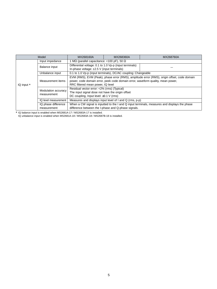|            | Model                              | MX268160A                                                                                                                                                                                                           | MX268360A | MX268760A |  |  |
|------------|------------------------------------|---------------------------------------------------------------------------------------------------------------------------------------------------------------------------------------------------------------------|-----------|-----------|--|--|
| IQ input * | Input impedance                    | MΩ (parallel capacitance: <100 pF), 50 Ω                                                                                                                                                                            |           |           |  |  |
|            | Balance input                      | Differential voltage: 0.1 to 1.0 Vp-p (input terminals)<br>In-phase voltage: $\pm 2.5$ V (input terminals)                                                                                                          |           |           |  |  |
|            | Unbalance input                    | 0.1 to 1.0 Vp-p (input terminals), DC/AC coupling: Changeable                                                                                                                                                       |           |           |  |  |
|            | Measurement items                  | EVM (RMS), EVM (Peak), phase error (RMS), amplitude error (RMS), origin offset, code domain<br>power, code domain error, peek code domain error, waveform quality, mean power,<br>RRC filtered mean power, IQ level |           |           |  |  |
|            | Modulation accuracy<br>measurement | Residual vector error: <2% (rms) (Typical)<br>The input signal dose not have the origin offset<br>DC coupling, Input level: $\geq 0.1$ V (rms)                                                                      |           |           |  |  |
|            | IQ level measurement               | Measures and displays input level of I and Q (rms, p-p)                                                                                                                                                             |           |           |  |  |
|            | IQ phase difference<br>measurement | When a CW signal is inputted to the I and Q input terminals, measures and displays the phase<br>difference between the I-phase and Q-phase signals.                                                                 |           |           |  |  |

\* IQ balance input is enabled when MS2681A-17 / MS2683A-17 is installed.

IQ unbalance input is enabled when MS2681A-18 / MS2683A-18 / MS2687B-18 is installed.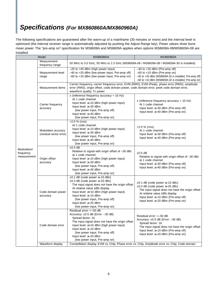### **Specifications (For MX860860A/MX860960A)**

The following specifications are guaranteed after the warm-up of a mainframe (30 minutes or more) and the internal level is optimized (the internal receiver range is automatically adjusted by pushing the Adjust Range key). Power values show burst mean power. The "pre-amp on" specification for MS8608A and MS8609A applies when options MS8608A-08/MS8609A-08 are installed.

| Model                                   |                                                | MX860860A                                                                                                                                                                                                                                                                                                                                              | MX860960A                                                                                                                                                                                                                                                          |  |
|-----------------------------------------|------------------------------------------------|--------------------------------------------------------------------------------------------------------------------------------------------------------------------------------------------------------------------------------------------------------------------------------------------------------------------------------------------------------|--------------------------------------------------------------------------------------------------------------------------------------------------------------------------------------------------------------------------------------------------------------------|--|
| Modulation/<br>frequency<br>measurement | Measurement<br>frequency range                 | 50 MHz to 3.0 GHz, 50 MHz to 2.3 GHz (MS8608A-08 / MS8609A-08 / MS8609A-30 is installed)                                                                                                                                                                                                                                                               |                                                                                                                                                                                                                                                                    |  |
|                                         | Measurement level<br>range                     | $-20$ to $+40$ dBm (high power input)<br>-40 to +20 dBm (low power input, Pre-amp off)<br>-60 to +10 dBm (low power input, Pre-amp on)                                                                                                                                                                                                                 | $-40$ to $+20$ dBm (Pre-amp off)<br>$-60$ to $+10$ dBm (Pre-amp on)<br>-40 to +26 dBm (MS8609A-32 is installed, Pre-amp off)<br>$-60$ to $+10$ dBm (MS8609A-32 is installed, Pre-amp on)                                                                           |  |
|                                         | Measurement items                              | Carrier frequency, carrier frequency error, EVM (RMS), EVM (Peak), phase error (RMS), amplitude<br>error (RMS), origin offset, code domain power, code domain error, peek code domain error,<br>waveform quality, Tx power                                                                                                                             |                                                                                                                                                                                                                                                                    |  |
|                                         | Carrier frequency<br>accuracy                  | $\pm$ (reference frequency accuracy + 10 Hz)<br>At 1 code channel<br>Input level: $\geq -10$ dBm (high power input)<br>Input level: ≥-30 dBm<br>(low power input, Pre-amp off)<br>Input level: ≥-40 dBm<br>(low power input, Pre-amp on)                                                                                                               | $\pm$ (reference frequency accuracy + 10 Hz)<br>At 1 code channel<br>Input level: $\geq -30$ dBm (Pre-amp off)<br>Input level: $\geq -40$ dBm (Pre-amp on)                                                                                                         |  |
|                                         | Modulation accuracy<br>(residual vector error) | $< 2.0 %$ (rms)<br>At 1 code channel<br>Input level: $\geq -10$ dBm (high power input)<br>Input level: ≥-30 dBm<br>(low power input, Pre-amp off)<br>Input level: ≥-40 dBm<br>(low power input, Pre-amp on)                                                                                                                                            | $<$ 2.0 % (rms)<br>At 1 code channel<br>Input level: $\geq -30$ dBm (Pre-amp off)<br>Input level: $\geq -40$ dBm (Pre-amp on)                                                                                                                                      |  |
|                                         | Origin offset<br>accuracy                      | $±0.5$ dB<br>Relative to signal with origin offset of -30 dBc<br>at 1 code channel<br>Input level: $\geq -10$ dBm (high power input)<br>Input level: ≥-30 dBm<br>(low power input, Pre-amp off)<br>Input level: ≥-40 dBm<br>(low power input, Pre-amp on)                                                                                              | $\pm 0.5$ dB<br>Relative to signal with origin offset of $-30$ dBc<br>at 1 code channel<br>Input level: $\geq$ -30 dBm (Pre-amp off)<br>Input level: $\geq -40$ dBm (Pre-amp on)                                                                                   |  |
|                                         | Code domain power<br>accuracy                  | $\pm 0.1$ dB (code power $\geq -10$ dBc)<br>$\pm 0.3$ dB (code power $\ge -25$ dBc)<br>The input signal does not have the origin offset<br>At relative value (dB) display<br>Input level: $\geq +10$ dBm (high power input)<br>Input level: $\geq -10$ dBm<br>(low power input, Pre-amp off)<br>Input level: ≥-20 dBm<br>(low power input, Pre-amp on) | $\pm 0.1$ dB (code power $\geq -10$ dBc)<br>$\pm 0.3$ dB (code power $\ge -25$ dBc)<br>The input signal does not have the origin offset<br>At relative value (dB) display<br>Input level: $\geq -10$ dBm (Pre-amp off)<br>Input level: $\geq -20$ dBm (Pre-amp on) |  |
|                                         | Code domain error                              | Residual error: <- 50 dB<br>Accuracy: $\pm 0.5$ dB (Error: $-30$ dB)<br>Spread factor: 16<br>The input signal does not have the origin offset<br>Input level: $\geq +10$ dBm (high power input)<br>Input level: $\geq -10$ dBm<br>(low power input, Pre-amp off)<br>Input level: ≥-20 dBm<br>(low power input, Pre-amp on)                             | Residual error: <- 50 dB<br>Accuracy: ±0.5 dB (Error: -30 dB)<br>Spread factor: 16<br>The input signal does not have the origin offset<br>Input level: $\geq -10$ dBm (Pre-amp off)<br>Input level: $\geq -20$ dBm (Pre-amp on)                                    |  |
|                                         | Waveform display                               | Constellation display, EVM vs. Chip, Phase error vs. Chip, Amplitude error vs. Chip, Code domain                                                                                                                                                                                                                                                       |                                                                                                                                                                                                                                                                    |  |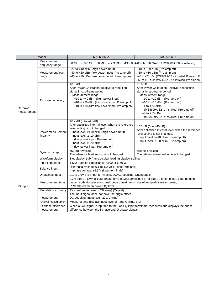|                         | Model                              | MX860860A                                                                                                                                                                                                                                                                                  | MX860960A                                                                                                                                                                                                                                                                                                             |  |
|-------------------------|------------------------------------|--------------------------------------------------------------------------------------------------------------------------------------------------------------------------------------------------------------------------------------------------------------------------------------------|-----------------------------------------------------------------------------------------------------------------------------------------------------------------------------------------------------------------------------------------------------------------------------------------------------------------------|--|
| RF power<br>measurement | Measurement<br>frequency range     | 50 MHz to 3.0 GHz, 50 MHz to 2.3 GHz (MS8608A-08 / MS8609A-08 / MS8609A-30 is installed)                                                                                                                                                                                                   |                                                                                                                                                                                                                                                                                                                       |  |
|                         | Measurement level<br>range         | -20 to +40 dBm (high power input)<br>-40 to +20 dBm (low power input, Pre-amp off)<br>-60 to +10 dBm (low power input, Pre-amp on)                                                                                                                                                         | $-40$ to $+20$ dBm (Pre-amp off)<br>$-60$ to $+10$ dBm (Pre-amp on)<br>-40 to +26 dBm (MS8609A-32 is installed, Pre-amp off)<br>$-60$ to $+10$ dBm (MS8609A-32 is installed, Pre-amp on)                                                                                                                              |  |
|                         | Tx power accuracy                  | $±0.6$ dB<br>After Power Calibration, relative to repetition<br>signal in sub-frame period.<br>Measurement range:<br>+10 to +40 dBm (high power input)<br>$-10$ to $+20$ dBm (low power input, Pre-amp off)<br>$-10$ to $+10$ dBm (low power input, Pre-amp on)                            | $±0.6$ dB<br>After Power Calibration, relative to repetition<br>signal in sub-frame period.<br>Measurement range:<br>$-10$ to $+20$ dBm (Pre-amp off)<br>$-10$ to $+10$ dBm (Pre-amp on)<br>$-4$ to $+26$ dBm<br>(MS8609A-32 is installed, Pre-amp off)<br>$-4$ to $+10$ dBm<br>(MS8609A-32 is installed, Pre-amp on) |  |
|                         | Power measurement<br>linearity     | $\pm 0.2$ dB (0 to $-40$ dB)<br>After optimized internal level, when the reference<br>level setting is not changed.<br>Input level: $\geq +10$ dBm (high power input)<br>Input level: ≥-10 dBm<br>(low power input, Pre-amp off)<br>Input level: ≥-20 dBm<br>(low power input, Pre-amp on) | $\pm 0.2$ dB (0 to $-40$ dB)<br>After optimized internal level, when the reference<br>level setting is not changed.<br>Input level: $\geq -10$ dBm (Pre-amp off)<br>Input level: ≥-20 dBm (Pre-amp on)                                                                                                                |  |
|                         | Dynamic range                      | $\geq$ 50 dB (Typical)<br>The reference level setting is not changed.                                                                                                                                                                                                                      | $\geq$ 50 dB (Typical)<br>The reference level setting is not changed.                                                                                                                                                                                                                                                 |  |
|                         | Waveform display                   | Slot display, sub-frame display, leading display, trailing                                                                                                                                                                                                                                 |                                                                                                                                                                                                                                                                                                                       |  |
|                         | Input impedance                    | 1 M $\Omega$ (parallel capacitance: <100 pF), 50 $\Omega$                                                                                                                                                                                                                                  |                                                                                                                                                                                                                                                                                                                       |  |
| IQ input                | Balance input                      | Differential voltage: 0.1 to 1.0 Vp-p (input terminals)<br>In-phase voltage: ±2.5 V (input terminals)                                                                                                                                                                                      |                                                                                                                                                                                                                                                                                                                       |  |
|                         | Unbalance input                    | 0.1 to 1.0V p-p (input terminals), DC/AC coupling: Changeable                                                                                                                                                                                                                              |                                                                                                                                                                                                                                                                                                                       |  |
|                         | Measurement items                  | EVM (RMS), EVM (Peak), phase error (RMS), amplitude error (RMS), origin offset, code domain<br>power, code domain error, peek code domain error, waveform quality, mean power,<br>RRC filtered mean power, IQ level                                                                        |                                                                                                                                                                                                                                                                                                                       |  |
|                         | Modulation accuracy                | Residual vector error: <2% (rms) (Typical)                                                                                                                                                                                                                                                 |                                                                                                                                                                                                                                                                                                                       |  |
|                         | measurement                        | The input signal dose not have the origin offset<br>DC coupling, Input level: $\geq 0.1$ V (rms)                                                                                                                                                                                           |                                                                                                                                                                                                                                                                                                                       |  |
|                         | IQ level measurement               | Measures and displays input level of I and Q (rms, p-p)                                                                                                                                                                                                                                    |                                                                                                                                                                                                                                                                                                                       |  |
|                         | IQ phase difference<br>measurement | When a CW signal is inputted to the I and Q input terminals, measures and displays the phase<br>difference between the I-phase and Q-phase signals.                                                                                                                                        |                                                                                                                                                                                                                                                                                                                       |  |